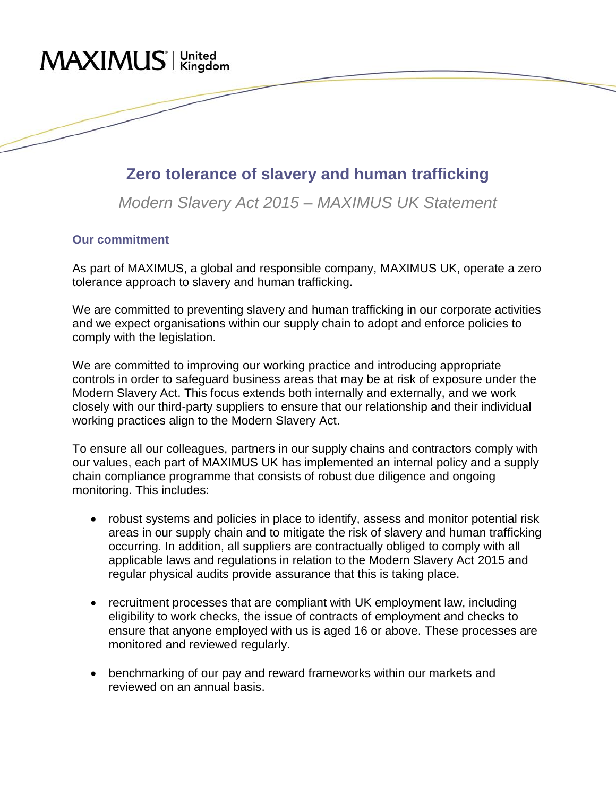## MAXIMUS<sup>'</sup> Kingdom

## **Zero tolerance of slavery and human trafficking**

*Modern Slavery Act 2015 – MAXIMUS UK Statement*

## **Our commitment**

As part of MAXIMUS, a global and responsible company, MAXIMUS UK, operate a zero tolerance approach to slavery and human trafficking.

We are committed to preventing slavery and human trafficking in our corporate activities and we expect organisations within our supply chain to adopt and enforce policies to comply with the legislation.

We are committed to improving our working practice and introducing appropriate controls in order to safeguard business areas that may be at risk of exposure under the Modern Slavery Act. This focus extends both internally and externally, and we work closely with our third-party suppliers to ensure that our relationship and their individual working practices align to the Modern Slavery Act.

To ensure all our colleagues, partners in our supply chains and contractors comply with our values, each part of MAXIMUS UK has implemented an internal policy and a supply chain compliance programme that consists of robust due diligence and ongoing monitoring. This includes:

- robust systems and policies in place to identify, assess and monitor potential risk areas in our supply chain and to mitigate the risk of slavery and human trafficking occurring. In addition, all suppliers are contractually obliged to comply with all applicable laws and regulations in relation to the Modern Slavery Act 2015 and regular physical audits provide assurance that this is taking place.
- recruitment processes that are compliant with UK employment law, including eligibility to work checks, the issue of contracts of employment and checks to ensure that anyone employed with us is aged 16 or above. These processes are monitored and reviewed regularly.
- benchmarking of our pay and reward frameworks within our markets and reviewed on an annual basis.